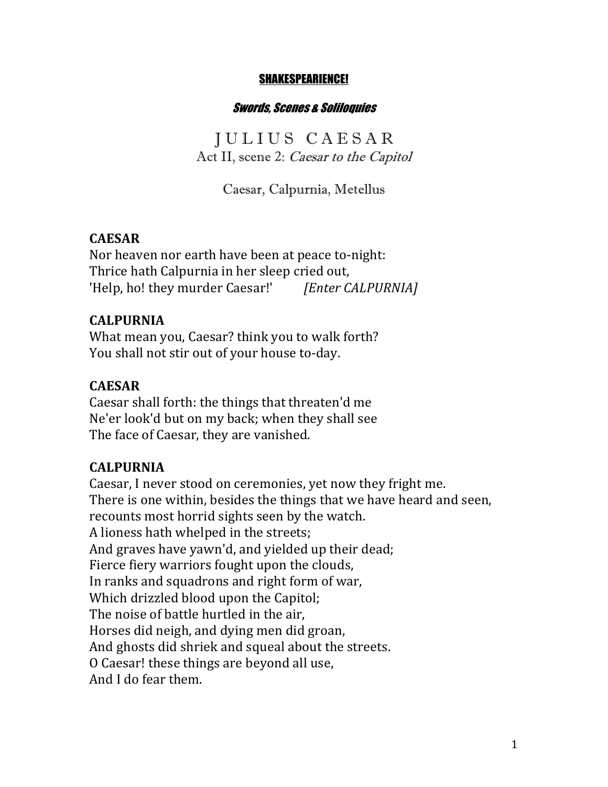#### SHAKESPEARIENCE!

#### Swords, Scenes & Soliloquies

J U L I U S C A E S A R Act II, scene 2: Caesar to the Capitol

Caesar, Calpurnia, Metellus

### **CAESAR**

Nor heaven nor earth have been at peace to-night: Thrice hath Calpurnia in her sleep cried out, 'Help, ho! they murder Caesar!' [*Enter CALPURNIA]* 

#### **CALPURNIA**

What mean you, Caesar? think you to walk forth? You shall not stir out of your house to-day.

#### **CAESAR**

Caesar shall forth: the things that threaten'd me Ne'er look'd but on my back; when they shall see The face of Caesar, they are vanished.

### **CALPURNIA**

Caesar, I never stood on ceremonies, yet now they fright me. There is one within, besides the things that we have heard and seen, recounts most horrid sights seen by the watch. A lioness hath whelped in the streets; And graves have yawn'd, and yielded up their dead; Fierce fiery warriors fought upon the clouds, In ranks and squadrons and right form of war, Which drizzled blood upon the Capitol; The noise of battle hurtled in the air, Horses did neigh, and dying men did groan, And ghosts did shriek and squeal about the streets. O Caesar! these things are beyond all use, And I do fear them.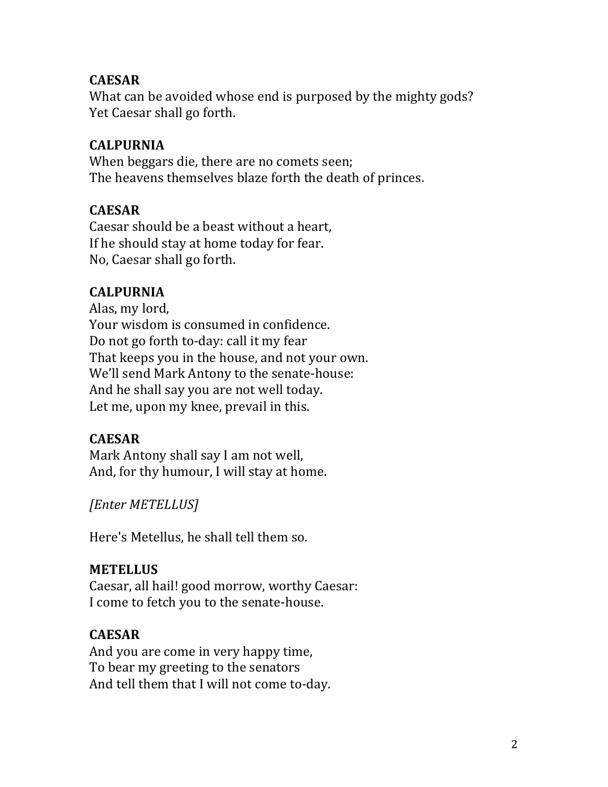## **CAESAR**

What can be avoided whose end is purposed by the mighty gods? Yet Caesar shall go forth.

## **CALPURNIA**

When beggars die, there are no comets seen; The heavens themselves blaze forth the death of princes.

### **CAESAR**

Caesar should be a beast without a heart, If he should stay at home today for fear. No, Caesar shall go forth.

## **CALPURNIA**

Alas, my lord, Your wisdom is consumed in confidence. Do not go forth to-day: call it my fear That keeps you in the house, and not your own. We'll send Mark Antony to the senate-house: And he shall say you are not well today. Let me, upon my knee, prevail in this.

## **CAESAR**

Mark Antony shall say I am not well, And, for thy humour, I will stay at home.

*[Enter METELLUS]*

Here's Metellus, he shall tell them so.

### **METELLUS**

Caesar, all hail! good morrow, worthy Caesar: I come to fetch you to the senate-house.

# **CAESAR**

And you are come in very happy time, To bear my greeting to the senators And tell them that I will not come to-day.